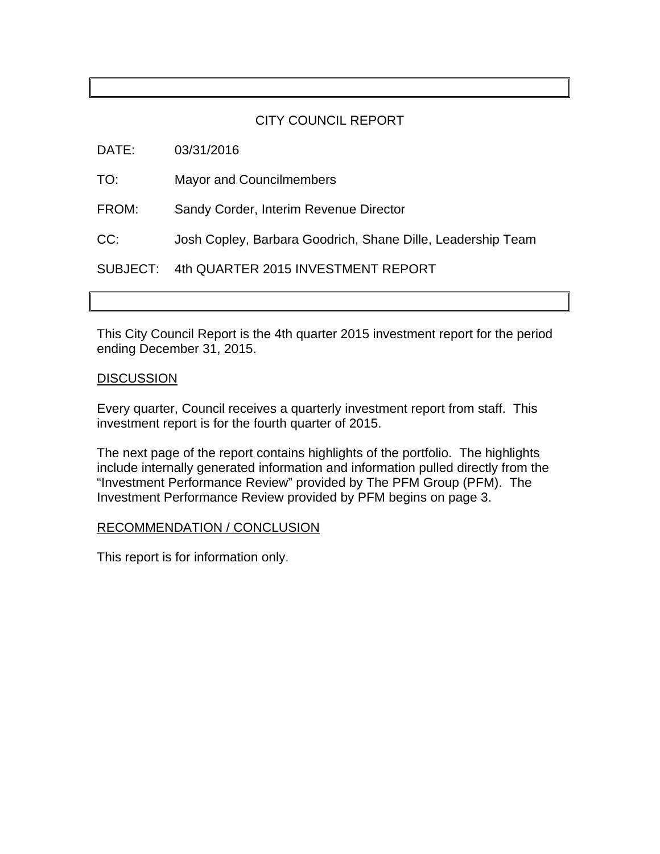### CITY COUNCIL REPORT

DATE: 03/31/2016

TO: Mayor and Councilmembers

FROM: Sandy Corder, Interim Revenue Director

CC: Josh Copley, Barbara Goodrich, Shane Dille, Leadership Team

SUBJECT: 4th QUARTER 2015 INVESTMENT REPORT

This City Council Report is the 4th quarter 2015 investment report for the period ending December 31, 2015.

### **DISCUSSION**

Every quarter, Council receives a quarterly investment report from staff. This investment report is for the fourth quarter of 2015.

The next page of the report contains highlights of the portfolio. The highlights include internally generated information and information pulled directly from the "Investment Performance Review" provided by The PFM Group (PFM). The Investment Performance Review provided by PFM begins on page 3.

### RECOMMENDATION / CONCLUSION

This report is for information only.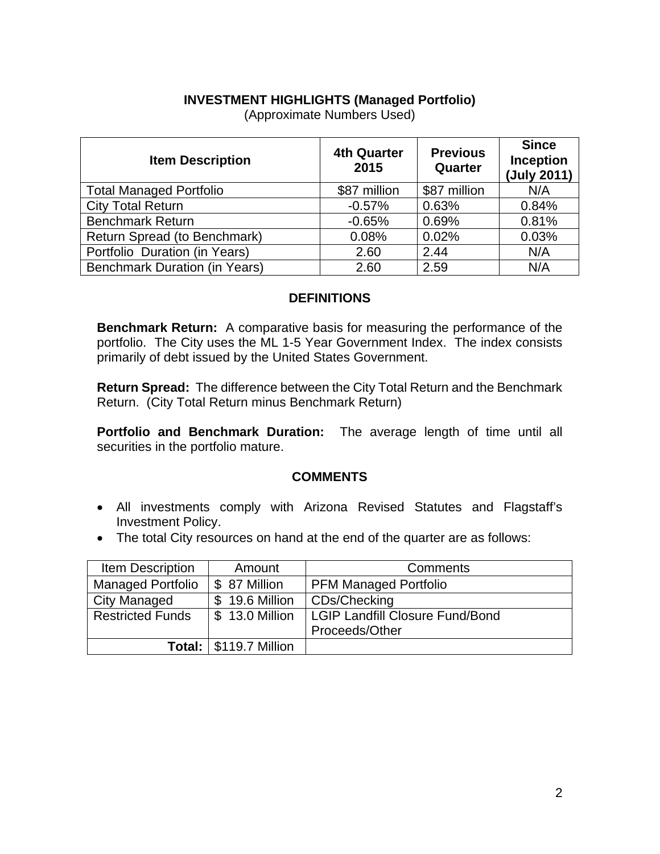### **INVESTMENT HIGHLIGHTS (Managed Portfolio)**

| <b>Item Description</b>              | <b>4th Quarter</b><br>2015 | <b>Previous</b><br>Quarter | <b>Since</b><br><b>Inception</b><br>(July 2011) |
|--------------------------------------|----------------------------|----------------------------|-------------------------------------------------|
| <b>Total Managed Portfolio</b>       | \$87 million               | \$87 million               | N/A                                             |
| <b>City Total Return</b>             | $-0.57%$                   | 0.63%                      | 0.84%                                           |
| <b>Benchmark Return</b>              | $-0.65%$                   | 0.69%                      | 0.81%                                           |
| Return Spread (to Benchmark)         | 0.08%                      | 0.02%                      | 0.03%                                           |
| Portfolio Duration (in Years)        | 2.60                       | 2.44                       | N/A                                             |
| <b>Benchmark Duration (in Years)</b> | 2.60                       | 2.59                       | N/A                                             |

(Approximate Numbers Used)

### **DEFINITIONS**

**Benchmark Return:** A comparative basis for measuring the performance of the portfolio. The City uses the ML 1-5 Year Government Index. The index consists primarily of debt issued by the United States Government.

**Return Spread:** The difference between the City Total Return and the Benchmark Return. (City Total Return minus Benchmark Return)

**Portfolio and Benchmark Duration:** The average length of time until all securities in the portfolio mature.

### **COMMENTS**

- All investments comply with Arizona Revised Statutes and Flagstaff's Investment Policy.
- The total City resources on hand at the end of the quarter are as follows:

| <b>Item Description</b>  | Amount                          | Comments                        |
|--------------------------|---------------------------------|---------------------------------|
| <b>Managed Portfolio</b> | \$ 87 Million                   | <b>PFM Managed Portfolio</b>    |
| <b>City Managed</b>      | \$ 19.6 Million                 | CDs/Checking                    |
| <b>Restricted Funds</b>  | \$ 13.0 Million                 | LGIP Landfill Closure Fund/Bond |
|                          |                                 | Proceeds/Other                  |
|                          | <b>Total:   \$119.7 Million</b> |                                 |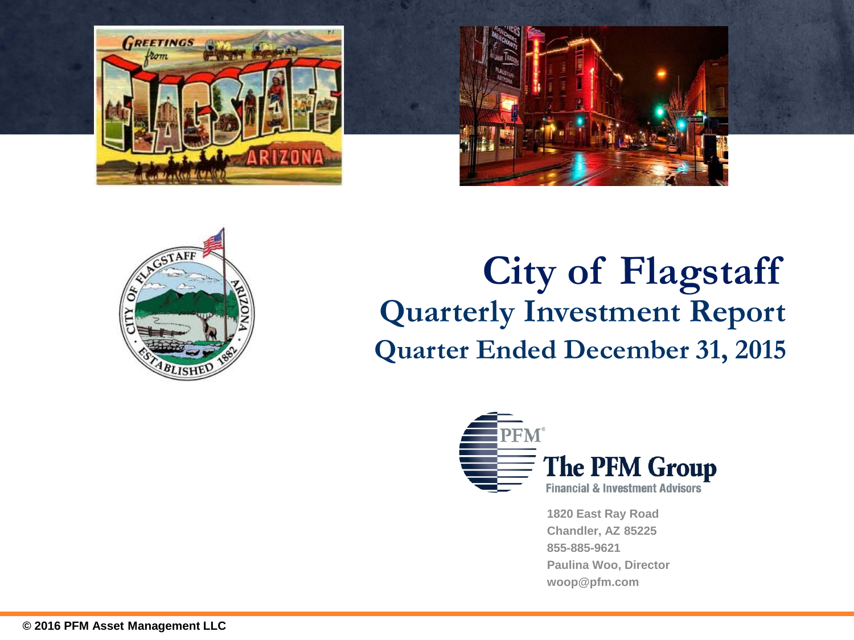



# **Quarterly Investment Report Quarter Ended December 31, 2015 City of Flagstaff**



**1820 East Ray Road Chandler, AZ 85225 855-885-9621 Paulina Woo, Director woop@pfm.com**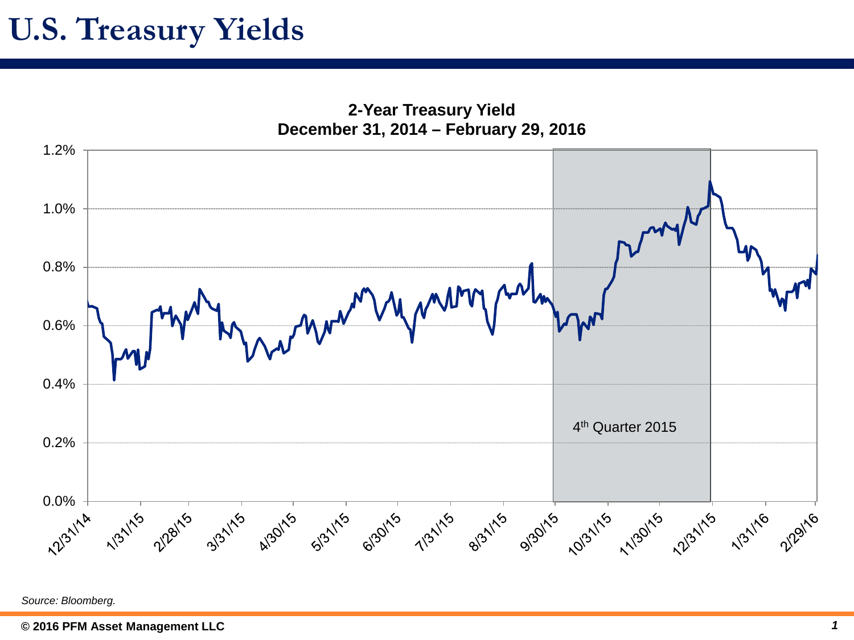## **U.S. Treasury Yields**

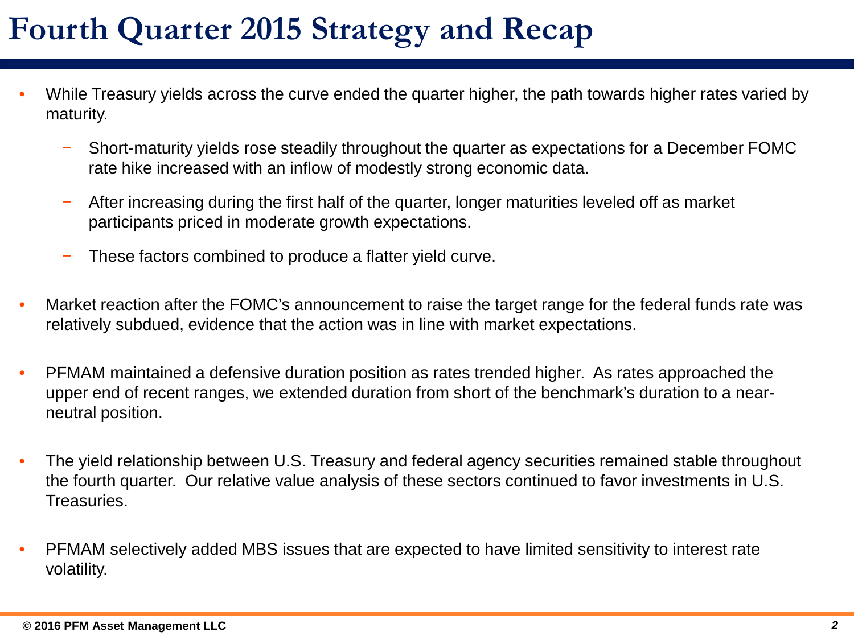# **Fourth Quarter 2015 Strategy and Recap**

- While Treasury yields across the curve ended the quarter higher, the path towards higher rates varied by maturity.
	- − Short-maturity yields rose steadily throughout the quarter as expectations for a December FOMC rate hike increased with an inflow of modestly strong economic data.
	- − After increasing during the first half of the quarter, longer maturities leveled off as market participants priced in moderate growth expectations.
	- − These factors combined to produce a flatter yield curve.
- Market reaction after the FOMC's announcement to raise the target range for the federal funds rate was relatively subdued, evidence that the action was in line with market expectations.
- PFMAM maintained a defensive duration position as rates trended higher. As rates approached the upper end of recent ranges, we extended duration from short of the benchmark's duration to a nearneutral position.
- The yield relationship between U.S. Treasury and federal agency securities remained stable throughout the fourth quarter. Our relative value analysis of these sectors continued to favor investments in U.S. Treasuries.
- PFMAM selectively added MBS issues that are expected to have limited sensitivity to interest rate volatility.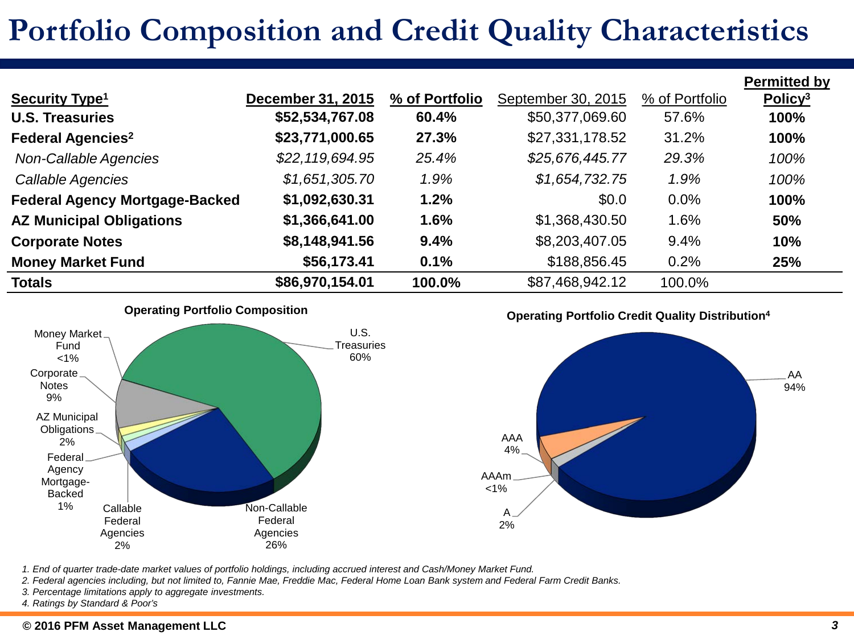## **Portfolio Composition and Credit Quality Characteristics**

|                                       |                          |                |                    |                | <b>Permitted by</b> |
|---------------------------------------|--------------------------|----------------|--------------------|----------------|---------------------|
| <b>Security Type<sup>1</sup></b>      | <b>December 31, 2015</b> | % of Portfolio | September 30, 2015 | % of Portfolio | Policy <sup>3</sup> |
| <b>U.S. Treasuries</b>                | \$52,534,767.08          | 60.4%          | \$50,377,069.60    | 57.6%          | 100%                |
| <b>Federal Agencies<sup>2</sup></b>   | \$23,771,000.65          | 27.3%          | \$27,331,178.52    | 31.2%          | 100%                |
| Non-Callable Agencies                 | \$22,119,694.95          | 25.4%          | \$25,676,445.77    | 29.3%          | 100%                |
| Callable Agencies                     | \$1,651,305.70           | 1.9%           | \$1,654,732.75     | 1.9%           | 100%                |
| <b>Federal Agency Mortgage-Backed</b> | \$1,092,630.31           | 1.2%           | \$0.0              | $0.0\%$        | 100%                |
| <b>AZ Municipal Obligations</b>       | \$1,366,641.00           | 1.6%           | \$1,368,430.50     | 1.6%           | 50%                 |
| <b>Corporate Notes</b>                | \$8,148,941.56           | 9.4%           | \$8,203,407.05     | 9.4%           | 10%                 |
| <b>Money Market Fund</b>              | \$56,173.41              | 0.1%           | \$188,856.45       | 0.2%           | 25%                 |
| <b>Totals</b>                         | \$86,970,154.01          | 100.0%         | \$87,468,942.12    | 100.0%         |                     |

**Operating Portfolio Composition**



**Operating Portfolio Credit Quality Distribution4**



*1. End of quarter trade-date market values of portfolio holdings, including accrued interest and Cash/Money Market Fund.*

- *2. Federal agencies including, but not limited to, Fannie Mae, Freddie Mac, Federal Home Loan Bank system and Federal Farm Credit Banks.*
- *3. Percentage limitations apply to aggregate investments.*

*4. Ratings by Standard & Poor's*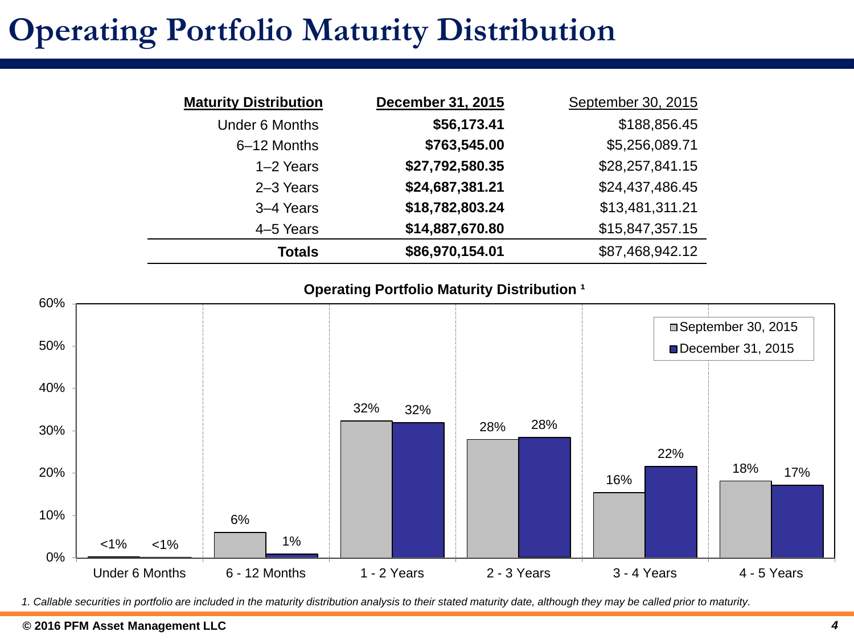# **Operating Portfolio Maturity Distribution**

| <b>Maturity Distribution</b> | December 31, 2015 | September 30, 2015 |
|------------------------------|-------------------|--------------------|
| <b>Under 6 Months</b>        | \$56,173.41       | \$188,856.45       |
| 6-12 Months                  | \$763,545.00      | \$5,256,089.71     |
| $1-2$ Years                  | \$27,792,580.35   | \$28,257,841.15    |
| 2-3 Years                    | \$24,687,381.21   | \$24,437,486.45    |
| 3-4 Years                    | \$18,782,803.24   | \$13,481,311.21    |
| 4–5 Years                    | \$14,887,670.80   | \$15,847,357.15    |
| <b>Totals</b>                | \$86,970,154.01   | \$87,468,942.12    |

### **Operating Portfolio Maturity Distribution <sup>1</sup>**



*1. Callable securities in portfolio are included in the maturity distribution analysis to their stated maturity date, although they may be called prior to maturity.*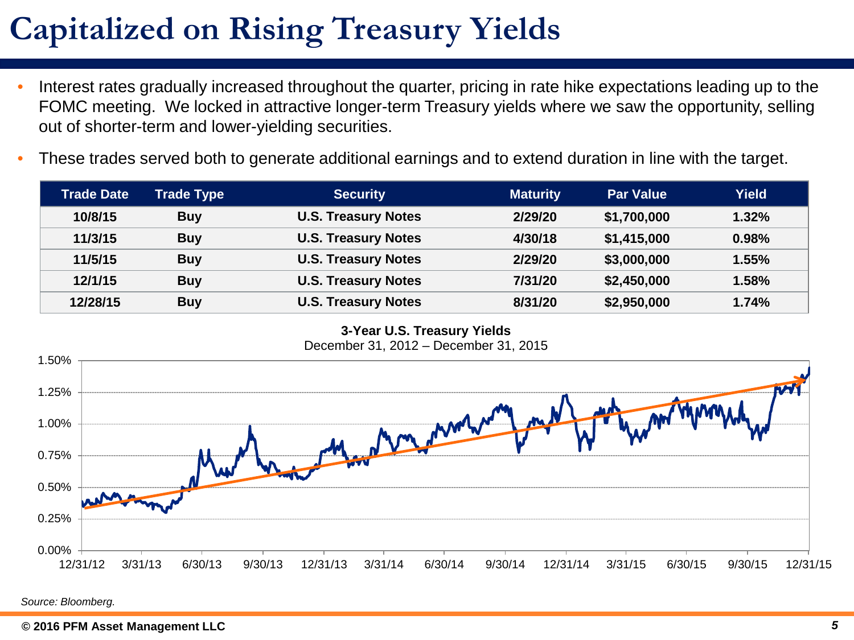# **Capitalized on Rising Treasury Yields**

- Interest rates gradually increased throughout the quarter, pricing in rate hike expectations leading up to the FOMC meeting. We locked in attractive longer-term Treasury yields where we saw the opportunity, selling out of shorter-term and lower-yielding securities.
- These trades served both to generate additional earnings and to extend duration in line with the target.

| <b>Trade Date</b> | Trade Type | <b>Security</b>            | <b>Maturity</b> | <b>Par Value</b> | Yield |
|-------------------|------------|----------------------------|-----------------|------------------|-------|
| 10/8/15           | <b>Buy</b> | <b>U.S. Treasury Notes</b> | 2/29/20         | \$1,700,000      | 1.32% |
| 11/3/15           | <b>Buy</b> | <b>U.S. Treasury Notes</b> | 4/30/18         | \$1,415,000      | 0.98% |
| 11/5/15           | <b>Buy</b> | <b>U.S. Treasury Notes</b> | 2/29/20         | \$3,000,000      | 1.55% |
| 12/1/15           | <b>Buy</b> | <b>U.S. Treasury Notes</b> | 7/31/20         | \$2,450,000      | 1.58% |
| 12/28/15          | <b>Buy</b> | <b>U.S. Treasury Notes</b> | 8/31/20         | \$2,950,000      | 1.74% |

**3-Year U.S. Treasury Yields** December 31, 2012 – December 31, 2015

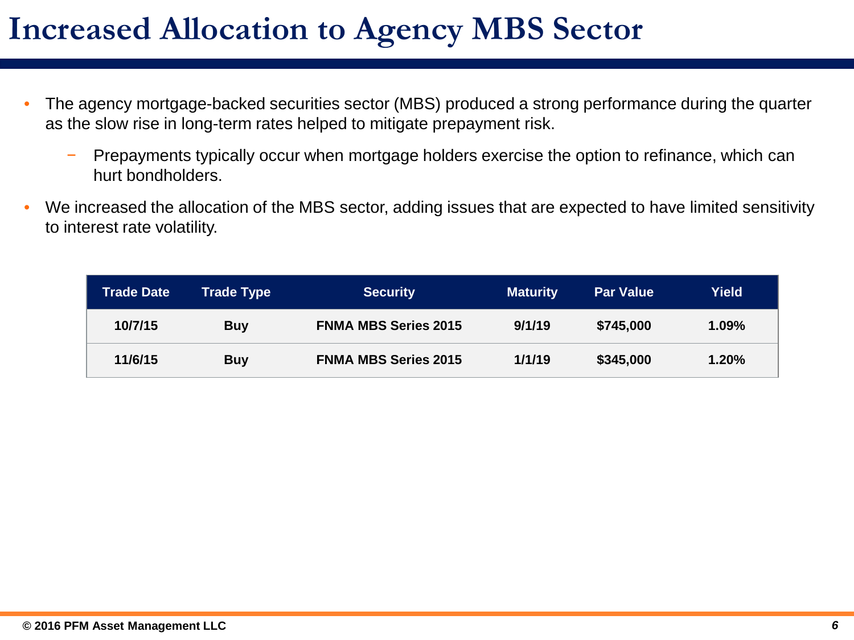## **Increased Allocation to Agency MBS Sector**

- The agency mortgage-backed securities sector (MBS) produced a strong performance during the quarter as the slow rise in long-term rates helped to mitigate prepayment risk.
	- Prepayments typically occur when mortgage holders exercise the option to refinance, which can hurt bondholders.
- We increased the allocation of the MBS sector, adding issues that are expected to have limited sensitivity to interest rate volatility.

| <b>Trade Date</b> | <b>Trade Type</b> | <b>Security</b>             | <b>Maturity</b> | <b>Par Value</b> | Yield    |
|-------------------|-------------------|-----------------------------|-----------------|------------------|----------|
| 10/7/15           | <b>Buy</b>        | <b>FNMA MBS Series 2015</b> | 9/1/19          | \$745,000        | $1.09\%$ |
| 11/6/15           | <b>Buy</b>        | <b>FNMA MBS Series 2015</b> | 1/1/19          | \$345,000        | 1.20%    |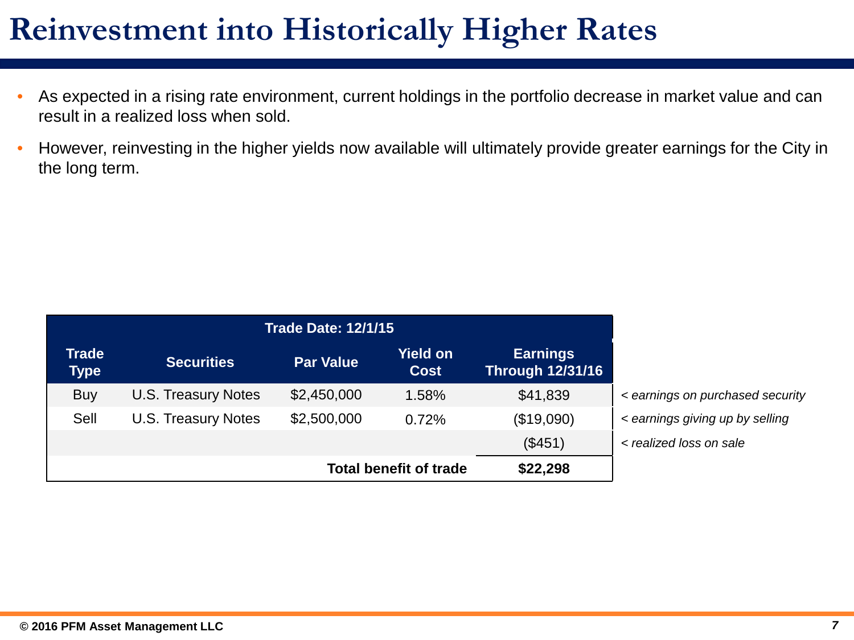## **Reinvestment into Historically Higher Rates**

- As expected in a rising rate environment, current holdings in the portfolio decrease in market value and can result in a realized loss when sold.
- However, reinvesting in the higher yields now available will ultimately provide greater earnings for the City in the long term.

| <b>Trade Date: 12/1/15</b>                |                            |                  |                                |                                            |            |  |
|-------------------------------------------|----------------------------|------------------|--------------------------------|--------------------------------------------|------------|--|
| <b>Trade</b><br><b>Type</b>               | <b>Securities</b>          | <b>Par Value</b> | <b>Yield on</b><br><b>Cost</b> | <b>Earnings</b><br><b>Through 12/31/16</b> |            |  |
| <b>Buy</b>                                | U.S. Treasury Notes        | \$2,450,000      | 1.58%                          | \$41,839                                   | $\epsilon$ |  |
| Sell                                      | <b>U.S. Treasury Notes</b> | \$2,500,000      | 0.72%                          | (\$19,090)                                 | $\epsilon$ |  |
|                                           | (\$451)<br>$<$ re          |                  |                                |                                            |            |  |
| \$22,298<br><b>Total benefit of trade</b> |                            |                  |                                |                                            |            |  |

- Buy U.S. Treasury Notes \$2,450,000 1.58% \$41,839 *< earnings on purchased security*
- Sell U.S. Treasury Notes \$2,500,000 0.72% (\$19,090) *< earnings giving up by selling*
- (\$451) *< realized loss on sale*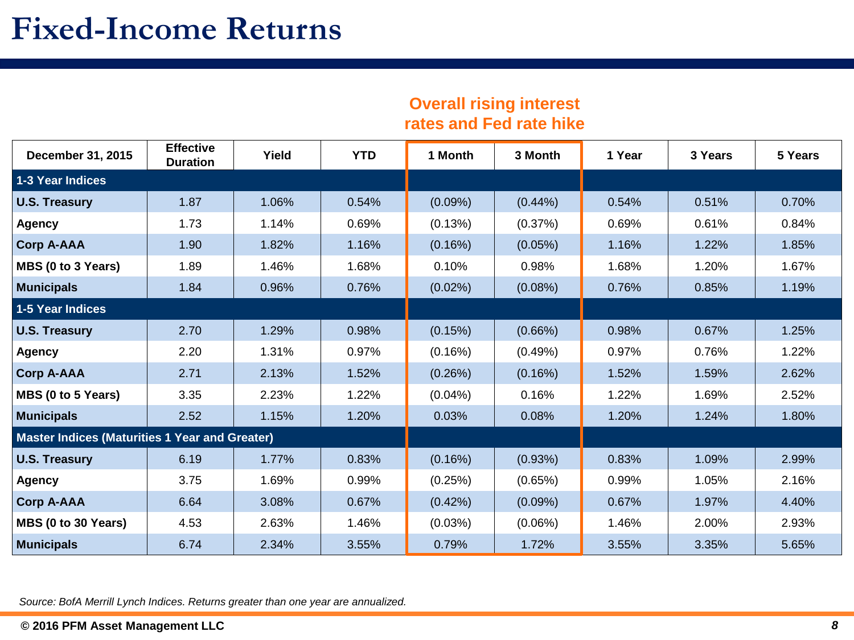### **Overall rising interest rates and Fed rate hike**

| December 31, 2015                                     | <b>Effective</b><br><b>Duration</b> | Yield | <b>YTD</b> | 1 Month    | 3 Month    | 1 Year | 3 Years | 5 Years |
|-------------------------------------------------------|-------------------------------------|-------|------------|------------|------------|--------|---------|---------|
| <b>1-3 Year Indices</b>                               |                                     |       |            |            |            |        |         |         |
| <b>U.S. Treasury</b>                                  | 1.87                                | 1.06% | 0.54%      | $(0.09\%)$ | $(0.44\%)$ | 0.54%  | 0.51%   | 0.70%   |
| <b>Agency</b>                                         | 1.73                                | 1.14% | 0.69%      | (0.13%)    | (0.37%)    | 0.69%  | 0.61%   | 0.84%   |
| <b>Corp A-AAA</b>                                     | 1.90                                | 1.82% | 1.16%      | (0.16%)    | (0.05%)    | 1.16%  | 1.22%   | 1.85%   |
| MBS (0 to 3 Years)                                    | 1.89                                | 1.46% | 1.68%      | 0.10%      | 0.98%      | 1.68%  | 1.20%   | 1.67%   |
| <b>Municipals</b>                                     | 1.84                                | 0.96% | 0.76%      | $(0.02\%)$ | $(0.08\%)$ | 0.76%  | 0.85%   | 1.19%   |
| <b>1-5 Year Indices</b>                               |                                     |       |            |            |            |        |         |         |
| <b>U.S. Treasury</b>                                  | 2.70                                | 1.29% | 0.98%      | (0.15%)    | $(0.66\%)$ | 0.98%  | 0.67%   | 1.25%   |
| <b>Agency</b>                                         | 2.20                                | 1.31% | 0.97%      | (0.16%)    | (0.49%)    | 0.97%  | 0.76%   | 1.22%   |
| <b>Corp A-AAA</b>                                     | 2.71                                | 2.13% | 1.52%      | (0.26%)    | (0.16%)    | 1.52%  | 1.59%   | 2.62%   |
| MBS (0 to 5 Years)                                    | 3.35                                | 2.23% | 1.22%      | $(0.04\%)$ | 0.16%      | 1.22%  | 1.69%   | 2.52%   |
| <b>Municipals</b>                                     | 2.52                                | 1.15% | 1.20%      | 0.03%      | 0.08%      | 1.20%  | 1.24%   | 1.80%   |
| <b>Master Indices (Maturities 1 Year and Greater)</b> |                                     |       |            |            |            |        |         |         |
| <b>U.S. Treasury</b>                                  | 6.19                                | 1.77% | 0.83%      | (0.16%)    | (0.93%)    | 0.83%  | 1.09%   | 2.99%   |
| <b>Agency</b>                                         | 3.75                                | 1.69% | 0.99%      | (0.25%)    | (0.65%)    | 0.99%  | 1.05%   | 2.16%   |
| <b>Corp A-AAA</b>                                     | 6.64                                | 3.08% | 0.67%      | (0.42%)    | $(0.09\%)$ | 0.67%  | 1.97%   | 4.40%   |
| MBS (0 to 30 Years)                                   | 4.53                                | 2.63% | 1.46%      | (0.03%)    | $(0.06\%)$ | 1.46%  | 2.00%   | 2.93%   |
| <b>Municipals</b>                                     | 6.74                                | 2.34% | 3.55%      | 0.79%      | 1.72%      | 3.55%  | 3.35%   | 5.65%   |

*Source: BofA Merrill Lynch Indices. Returns greater than one year are annualized.*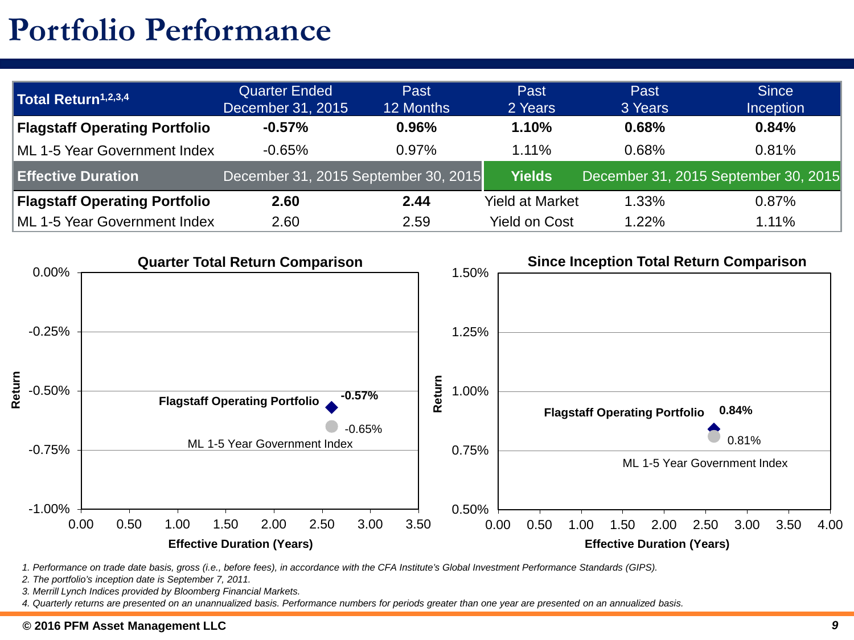## **Portfolio Performance**

| Total Return <sup>1,2,3,4</sup>      | <b>Quarter Ended</b><br>December 31, 2015 | Past<br>12 Months                    | Past<br>2 Years        | Past<br>3 Years | <b>Since</b><br><b>Inception</b>     |
|--------------------------------------|-------------------------------------------|--------------------------------------|------------------------|-----------------|--------------------------------------|
| <b>Flagstaff Operating Portfolio</b> | $-0.57%$                                  | 0.96%                                | 1.10%                  | 0.68%           | 0.84%                                |
| ML 1-5 Year Government Index         | $-0.65%$                                  | 0.97%                                | 1.11%                  | 0.68%           | 0.81%                                |
| <b>Effective Duration</b>            |                                           | December 31, 2015 September 30, 2015 | <b>Yields</b>          |                 | December 31, 2015 September 30, 2015 |
| <b>Flagstaff Operating Portfolio</b> | 2.60                                      | 2.44                                 | <b>Yield at Market</b> | 1.33%           | 0.87%                                |
| ML 1-5 Year Government Index         | 2.60                                      | 2.59                                 | <b>Yield on Cost</b>   | 1.22%           | 1.11%                                |



*1. Performance on trade date basis, gross (i.e., before fees), in accordance with the CFA Institute's Global Investment Performance Standards (GIPS).* 

*2. The portfolio's inception date is September 7, 2011.*

*3. Merrill Lynch Indices provided by Bloomberg Financial Markets.*

*4. Quarterly returns are presented on an unannualized basis. Performance numbers for periods greater than one year are presented on an annualized basis.*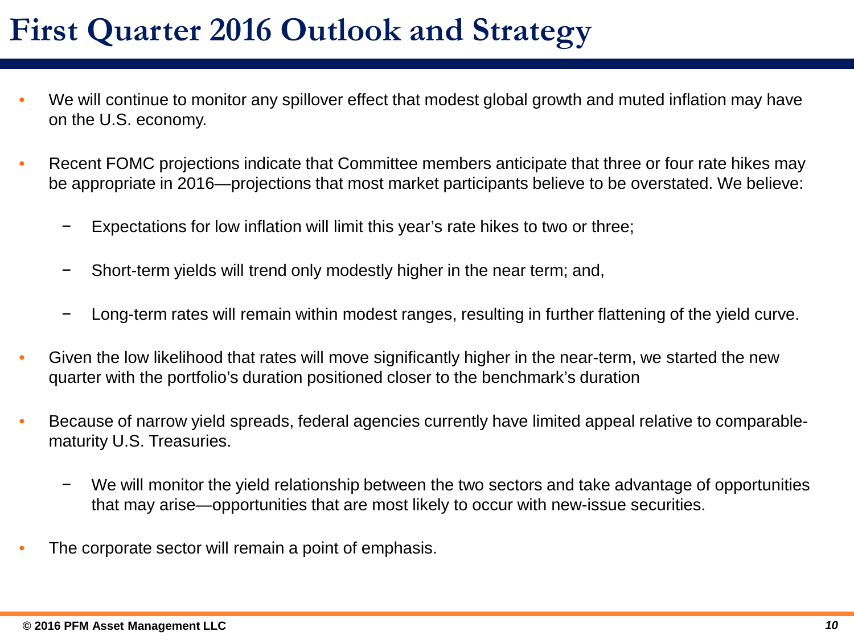- We will continue to monitor any spillover effect that modest global growth and muted inflation may have on the U.S. economy.
- Recent FOMC projections indicate that Committee members anticipate that three or four rate hikes may be appropriate in 2016—projections that most market participants believe to be overstated. We believe:
	- Expectations for low inflation will limit this year's rate hikes to two or three;
	- Short-term yields will trend only modestly higher in the near term; and,
	- − Long-term rates will remain within modest ranges, resulting in further flattening of the yield curve.
- Given the low likelihood that rates will move significantly higher in the near-term, we started the new quarter with the portfolio's duration positioned closer to the benchmark's duration
- Because of narrow yield spreads, federal agencies currently have limited appeal relative to comparablematurity U.S. Treasuries.
	- − We will monitor the yield relationship between the two sectors and take advantage of opportunities that may arise—opportunities that are most likely to occur with new-issue securities.
- The corporate sector will remain a point of emphasis.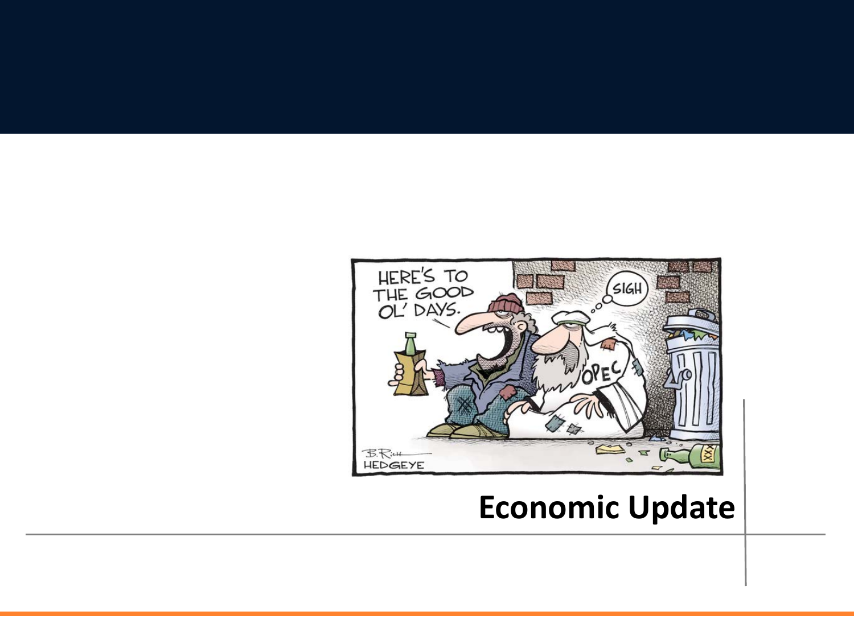

## **Economic Update**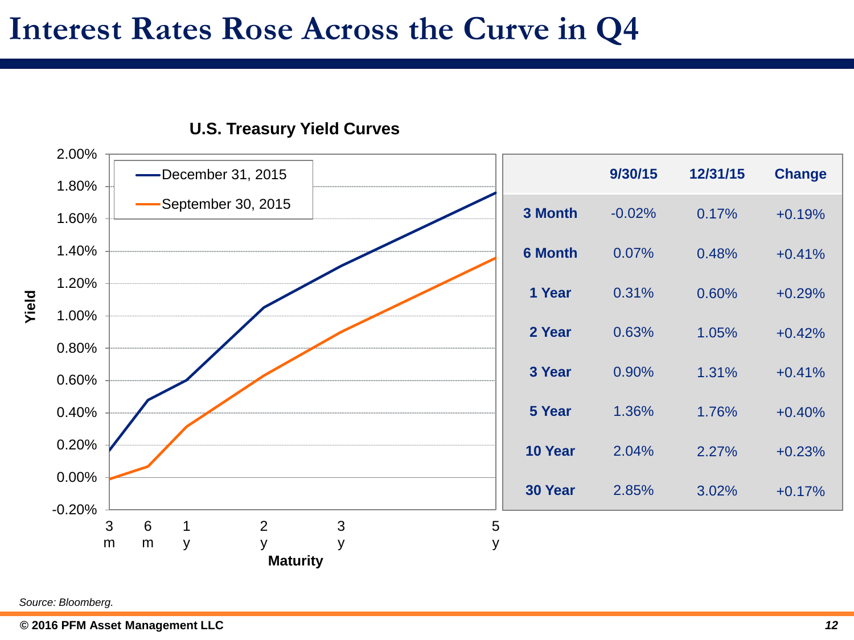## **Interest Rates Rose Across the Curve in Q4**



### **U.S. Treasury Yield Curves**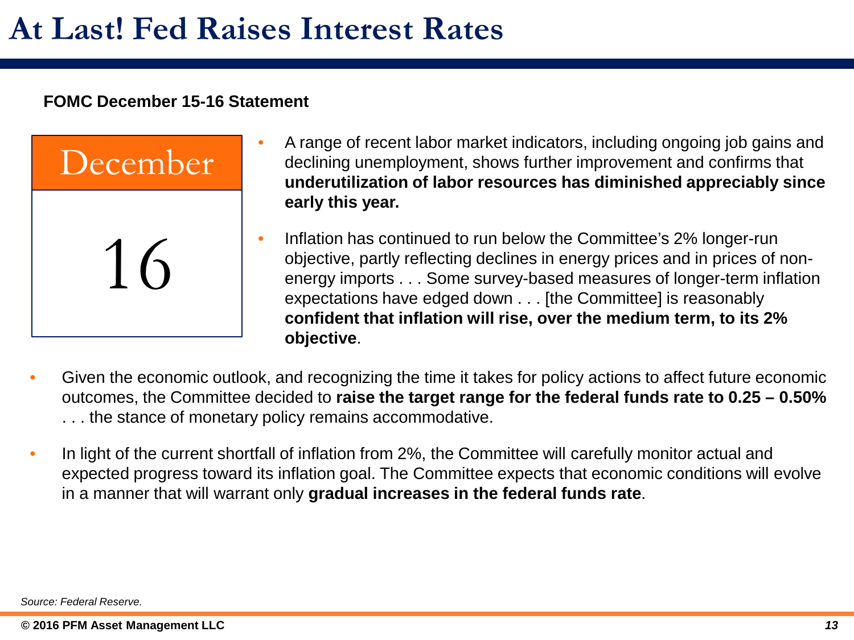### **FOMC December 15-16 Statement**



- A range of recent labor market indicators, including ongoing job gains and declining unemployment, shows further improvement and confirms that **underutilization of labor resources has diminished appreciably since early this year.**
- Inflation has continued to run below the Committee's 2% longer-run objective, partly reflecting declines in energy prices and in prices of nonenergy imports . . . Some survey-based measures of longer-term inflation expectations have edged down . . . [the Committee] is reasonably **confident that inflation will rise, over the medium term, to its 2% objective**.
- Given the economic outlook, and recognizing the time it takes for policy actions to affect future economic outcomes, the Committee decided to **raise the target range for the federal funds rate to 0.25 – 0.50%**  . . . the stance of monetary policy remains accommodative.
- In light of the current shortfall of inflation from 2%, the Committee will carefully monitor actual and expected progress toward its inflation goal. The Committee expects that economic conditions will evolve in a manner that will warrant only **gradual increases in the federal funds rate**.

*Source: Federal Reserve.*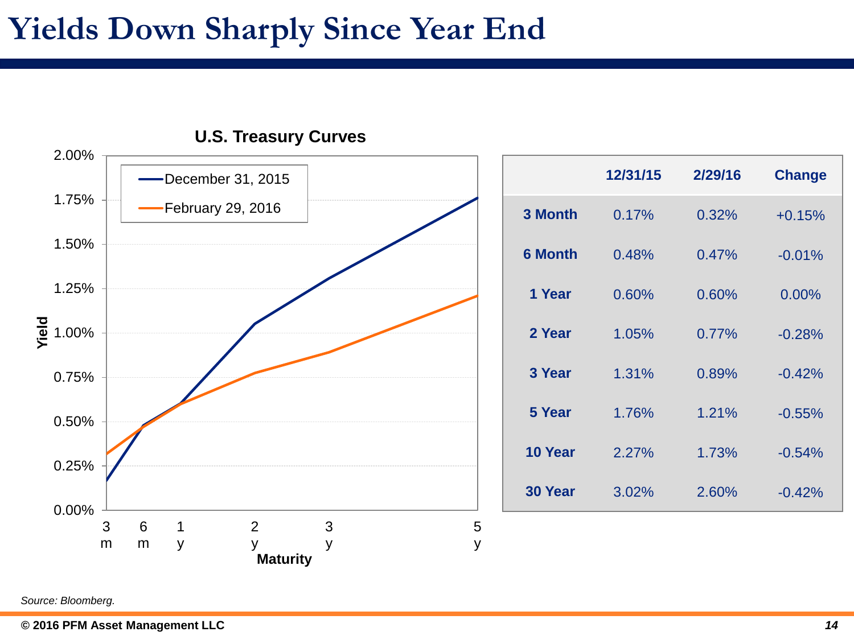## **Yields Down Sharply Since Year End**



|                | 12/31/15 | 2/29/16 | <b>Change</b> |
|----------------|----------|---------|---------------|
| 3 Month        | 0.17%    | 0.32%   | $+0.15%$      |
| <b>6 Month</b> | 0.48%    | 0.47%   | $-0.01%$      |
| 1 Year         | 0.60%    | 0.60%   | 0.00%         |
| 2 Year         | 1.05%    | 0.77%   | $-0.28%$      |
| 3 Year         | 1.31%    | 0.89%   | $-0.42%$      |
| 5 Year         | 1.76%    | 1.21%   | $-0.55%$      |
| 10 Year        | 2.27%    | 1.73%   | $-0.54%$      |
| 30 Year        | 3.02%    | 2.60%   | $-0.42%$      |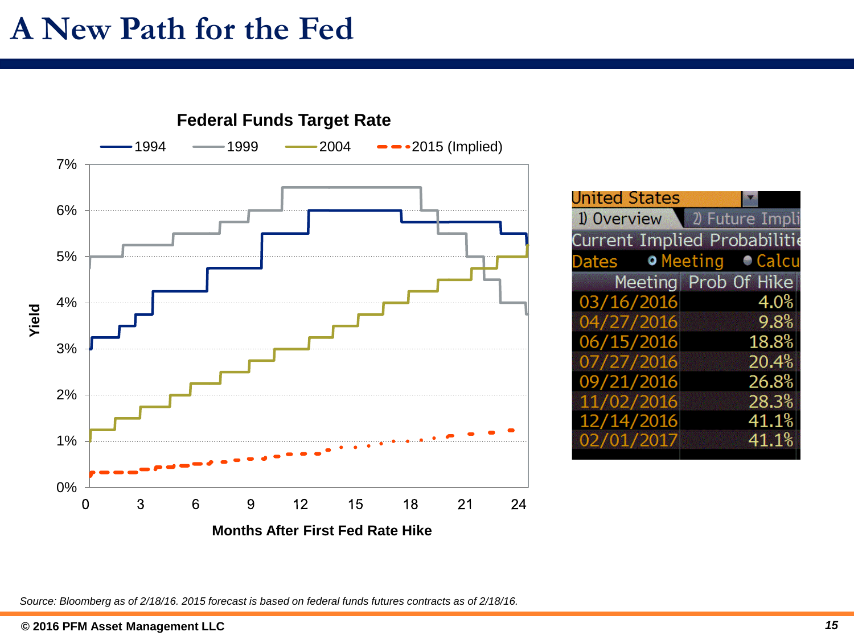## **A New Path for the Fed**



*Source: Bloomberg as of 2/18/16. 2015 forecast is based on federal funds futures contracts as of 2/18/16.*

● Calcu

4.0%

9.8%

18.8%

20.4%

26.8%

28.3%

41.1%

41.1%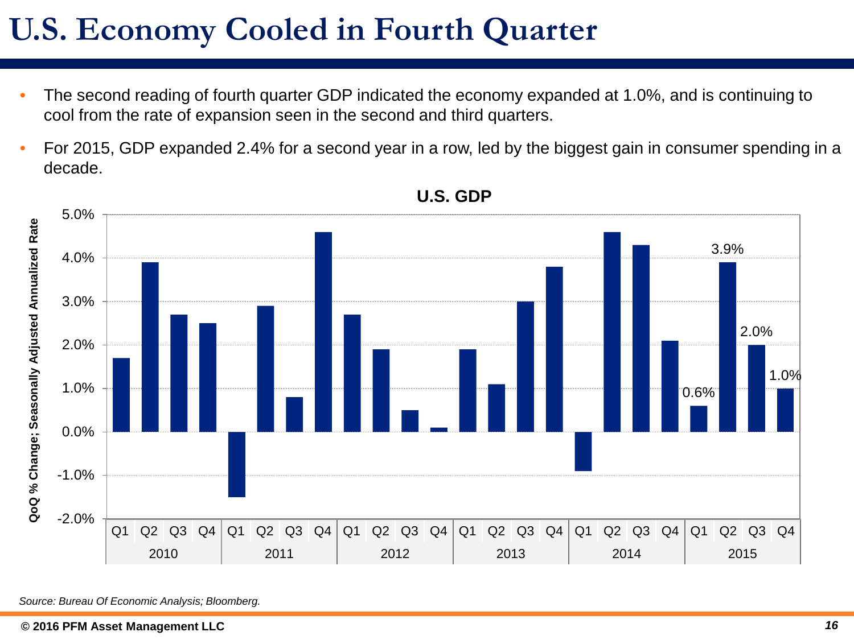## **U.S. Economy Cooled in Fourth Quarter**

- The second reading of fourth quarter GDP indicated the economy expanded at 1.0%, and is continuing to cool from the rate of expansion seen in the second and third quarters.
- For 2015, GDP expanded 2.4% for a second year in a row, led by the biggest gain in consumer spending in a decade.



### **U.S. GDP**

*Source: Bureau Of Economic Analysis; Bloomberg.*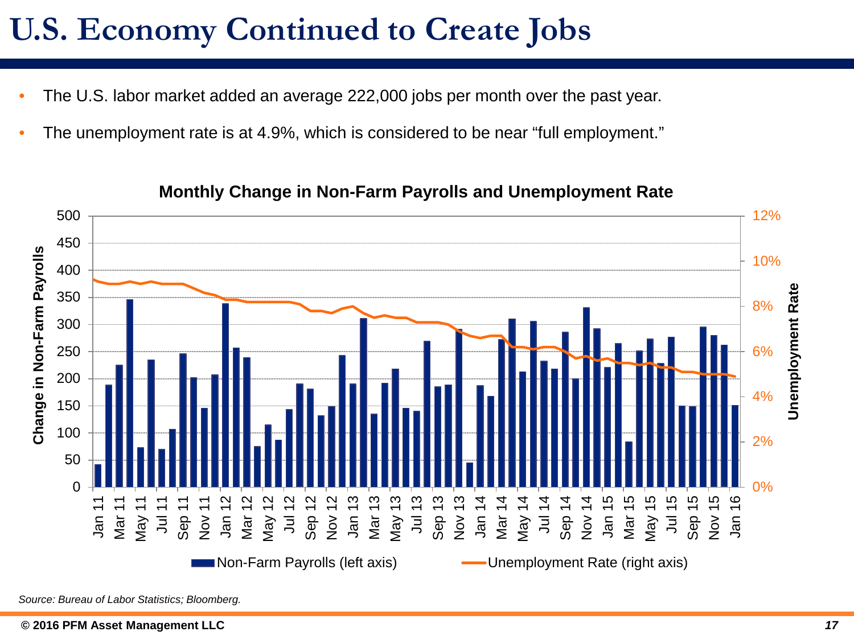# **U.S. Economy Continued to Create Jobs**

- The U.S. labor market added an average 222,000 jobs per month over the past year.
- The unemployment rate is at 4.9%, which is considered to be near "full employment."



### **Monthly Change in Non-Farm Payrolls and Unemployment Rate**

*Source: Bureau of Labor Statistics; Bloomberg.*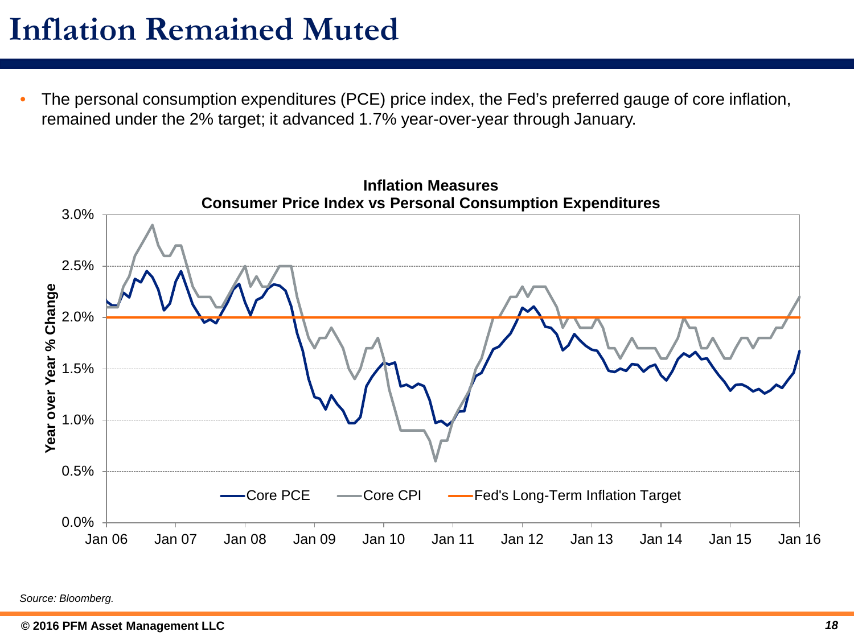## **Inflation Remained Muted**

• The personal consumption expenditures (PCE) price index, the Fed's preferred gauge of core inflation, remained under the 2% target; it advanced 1.7% year-over-year through January.

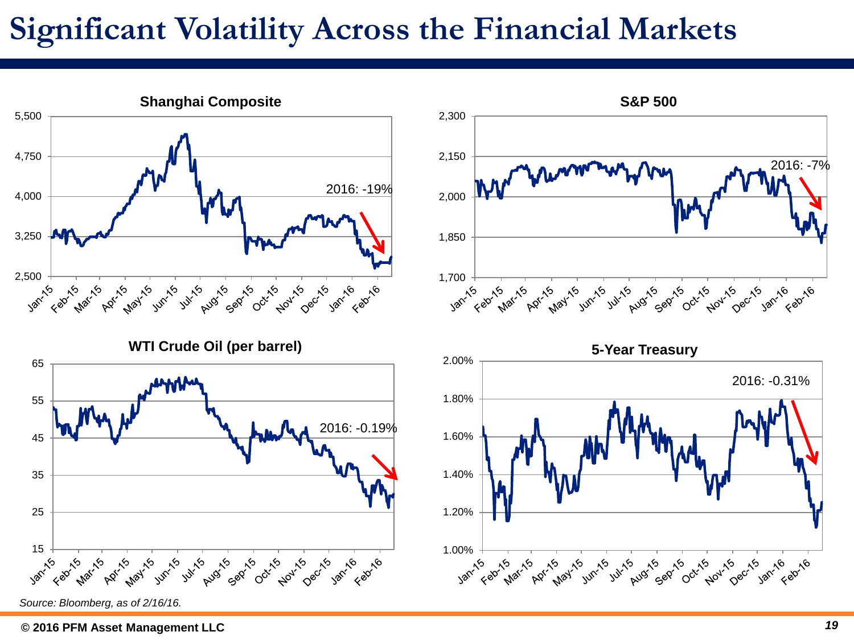## **Significant Volatility Across the Financial Markets**

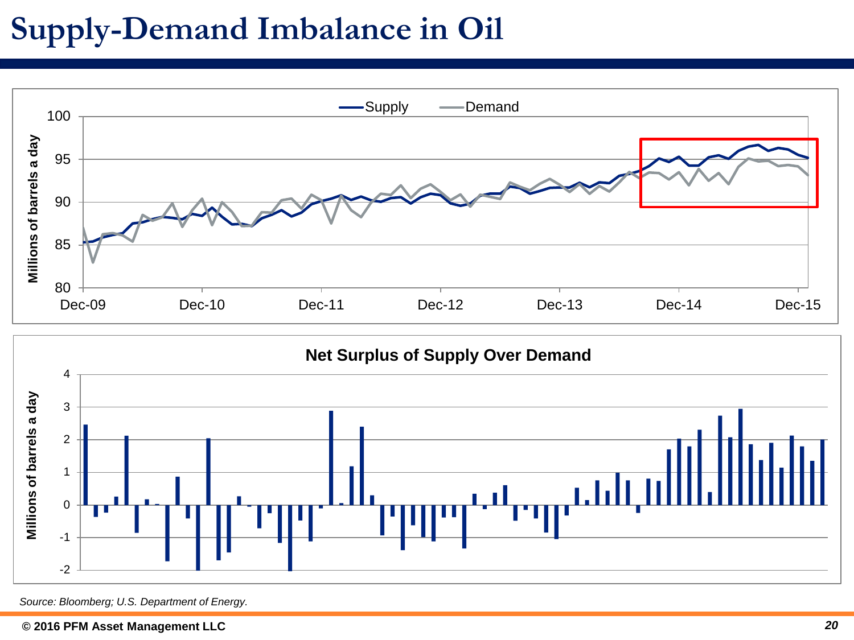# **Supply-Demand Imbalance in Oil**





*Source: Bloomberg; U.S. Department of Energy.*